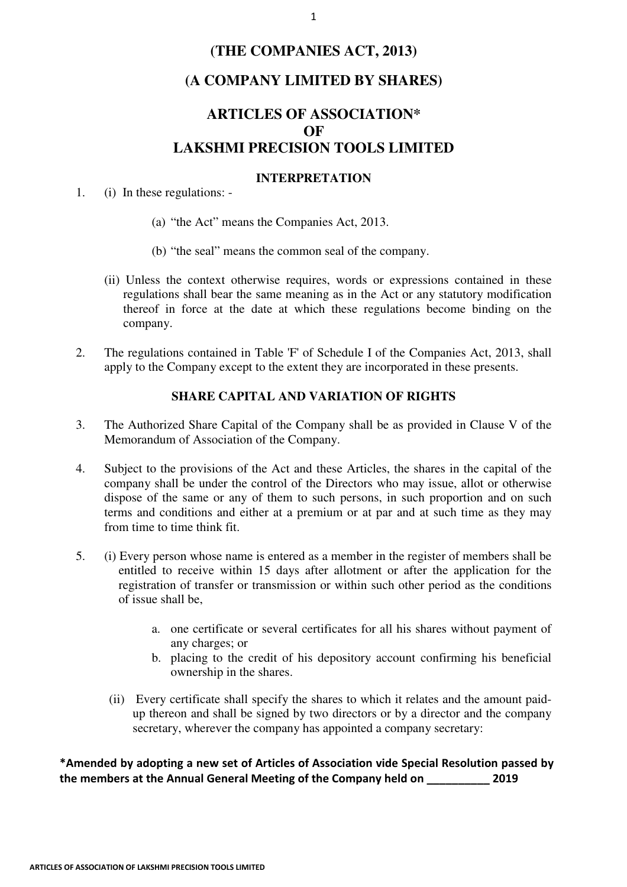## **(THE COMPANIES ACT, 2013)**

## **(A COMPANY LIMITED BY SHARES)**

# **ARTICLES OF ASSOCIATION\* OF LAKSHMI PRECISION TOOLS LIMITED**

#### **INTERPRETATION**

1. (i) In these regulations: -

- (a) "the Act" means the Companies Act, 2013.
- (b) "the seal" means the common seal of the company.
- (ii) Unless the context otherwise requires, words or expressions contained in these regulations shall bear the same meaning as in the Act or any statutory modification thereof in force at the date at which these regulations become binding on the company.
- 2. The regulations contained in Table 'F' of Schedule I of the Companies Act, 2013, shall apply to the Company except to the extent they are incorporated in these presents.

#### **SHARE CAPITAL AND VARIATION OF RIGHTS**

- 3. The Authorized Share Capital of the Company shall be as provided in Clause V of the Memorandum of Association of the Company.
- 4. Subject to the provisions of the Act and these Articles, the shares in the capital of the company shall be under the control of the Directors who may issue, allot or otherwise dispose of the same or any of them to such persons, in such proportion and on such terms and conditions and either at a premium or at par and at such time as they may from time to time think fit.
- 5. (i) Every person whose name is entered as a member in the register of members shall be entitled to receive within 15 days after allotment or after the application for the registration of transfer or transmission or within such other period as the conditions of issue shall be,
	- a. one certificate or several certificates for all his shares without payment of any charges; or
	- b. placing to the credit of his depository account confirming his beneficial ownership in the shares.
	- (ii) Every certificate shall specify the shares to which it relates and the amount paidup thereon and shall be signed by two directors or by a director and the company secretary, wherever the company has appointed a company secretary:

\*Amended by adopting a new set of Articles of Association vide Special Resolution passed by the members at the Annual General Meeting of the Company held on 2019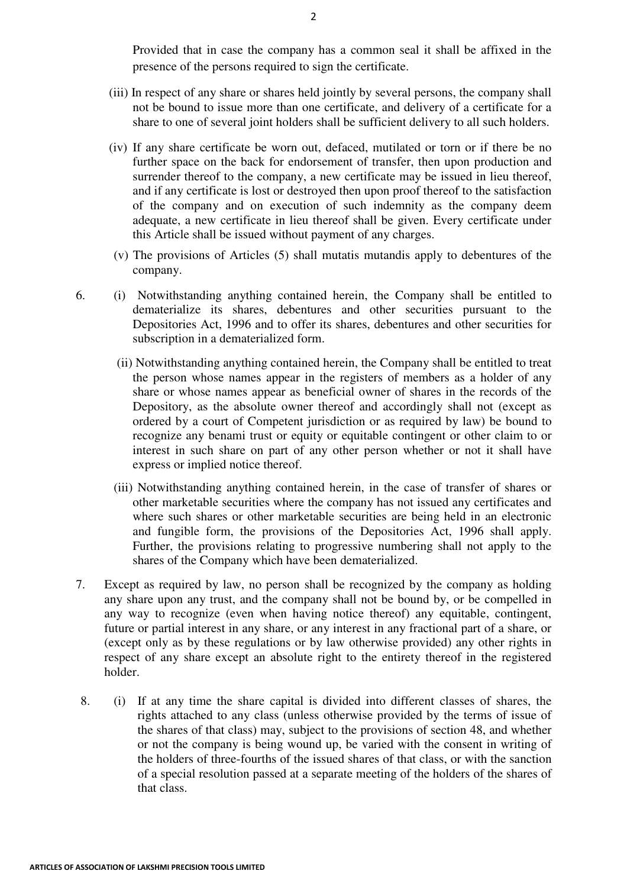Provided that in case the company has a common seal it shall be affixed in the presence of the persons required to sign the certificate.

- (iii) In respect of any share or shares held jointly by several persons, the company shall not be bound to issue more than one certificate, and delivery of a certificate for a share to one of several joint holders shall be sufficient delivery to all such holders.
- (iv) If any share certificate be worn out, defaced, mutilated or torn or if there be no further space on the back for endorsement of transfer, then upon production and surrender thereof to the company, a new certificate may be issued in lieu thereof, and if any certificate is lost or destroyed then upon proof thereof to the satisfaction of the company and on execution of such indemnity as the company deem adequate, a new certificate in lieu thereof shall be given. Every certificate under this Article shall be issued without payment of any charges.
- (v) The provisions of Articles (5) shall mutatis mutandis apply to debentures of the company.
- 6. (i) Notwithstanding anything contained herein, the Company shall be entitled to dematerialize its shares, debentures and other securities pursuant to the Depositories Act, 1996 and to offer its shares, debentures and other securities for subscription in a dematerialized form.
	- (ii) Notwithstanding anything contained herein, the Company shall be entitled to treat the person whose names appear in the registers of members as a holder of any share or whose names appear as beneficial owner of shares in the records of the Depository, as the absolute owner thereof and accordingly shall not (except as ordered by a court of Competent jurisdiction or as required by law) be bound to recognize any benami trust or equity or equitable contingent or other claim to or interest in such share on part of any other person whether or not it shall have express or implied notice thereof.
	- (iii) Notwithstanding anything contained herein, in the case of transfer of shares or other marketable securities where the company has not issued any certificates and where such shares or other marketable securities are being held in an electronic and fungible form, the provisions of the Depositories Act, 1996 shall apply. Further, the provisions relating to progressive numbering shall not apply to the shares of the Company which have been dematerialized.
- 7. Except as required by law, no person shall be recognized by the company as holding any share upon any trust, and the company shall not be bound by, or be compelled in any way to recognize (even when having notice thereof) any equitable, contingent, future or partial interest in any share, or any interest in any fractional part of a share, or (except only as by these regulations or by law otherwise provided) any other rights in respect of any share except an absolute right to the entirety thereof in the registered holder.
- 8. (i) If at any time the share capital is divided into different classes of shares, the rights attached to any class (unless otherwise provided by the terms of issue of the shares of that class) may, subject to the provisions of section 48, and whether or not the company is being wound up, be varied with the consent in writing of the holders of three-fourths of the issued shares of that class, or with the sanction of a special resolution passed at a separate meeting of the holders of the shares of that class.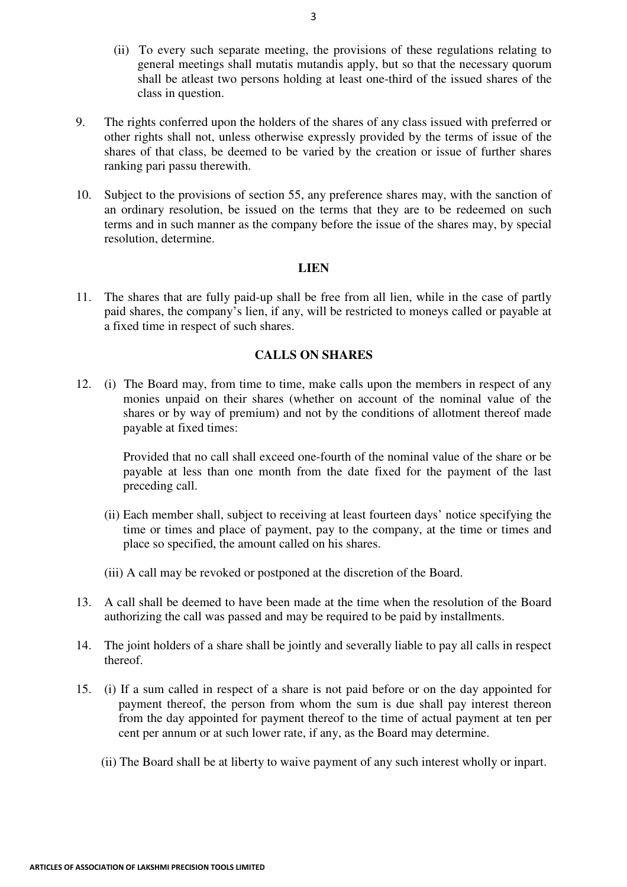- (ii) To every such separate meeting, the provisions of these regulations relating to general meetings shall mutatis mutandis apply, but so that the necessary quorum shall be atleast two persons holding at least one-third of the issued shares of the class in question.
- 9. The rights conferred upon the holders of the shares of any class issued with preferred or other rights shall not, unless otherwise expressly provided by the terms of issue of the shares of that class, be deemed to be varied by the creation or issue of further shares ranking pari passu therewith.
- 10. Subject to the provisions of section 55, any preference shares may, with the sanction of an ordinary resolution, be issued on the terms that they are to be redeemed on such terms and in such manner as the company before the issue of the shares may, by special resolution, determine.

### **LIEN**

11. The shares that are fully paid-up shall be free from all lien, while in the case of partly paid shares, the company's lien, if any, will be restricted to moneys called or payable at a fixed time in respect of such shares.

## **CALLS ON SHARES**

12. (i) The Board may, from time to time, make calls upon the members in respect of any monies unpaid on their shares (whether on account of the nominal value of the shares or by way of premium) and not by the conditions of allotment thereof made payable at fixed times:

Provided that no call shall exceed one-fourth of the nominal value of the share or be payable at less than one month from the date fixed for the payment of the last preceding call.

- (ii) Each member shall, subject to receiving at least fourteen days' notice specifying the time or times and place of payment, pay to the company, at the time or times and place so specified, the amount called on his shares.
- (iii) A call may be revoked or postponed at the discretion of the Board.
- 13. A call shall be deemed to have been made at the time when the resolution of the Board authorizing the call was passed and may be required to be paid by installments.
- 14. The joint holders of a share shall be jointly and severally liable to pay all calls in respect thereof.
- 15. (i) If a sum called in respect of a share is not paid before or on the day appointed for payment thereof, the person from whom the sum is due shall pay interest thereon from the day appointed for payment thereof to the time of actual payment at ten per cent per annum or at such lower rate, if any, as the Board may determine.
	- (ii) The Board shall be at liberty to waive payment of any such interest wholly or inpart.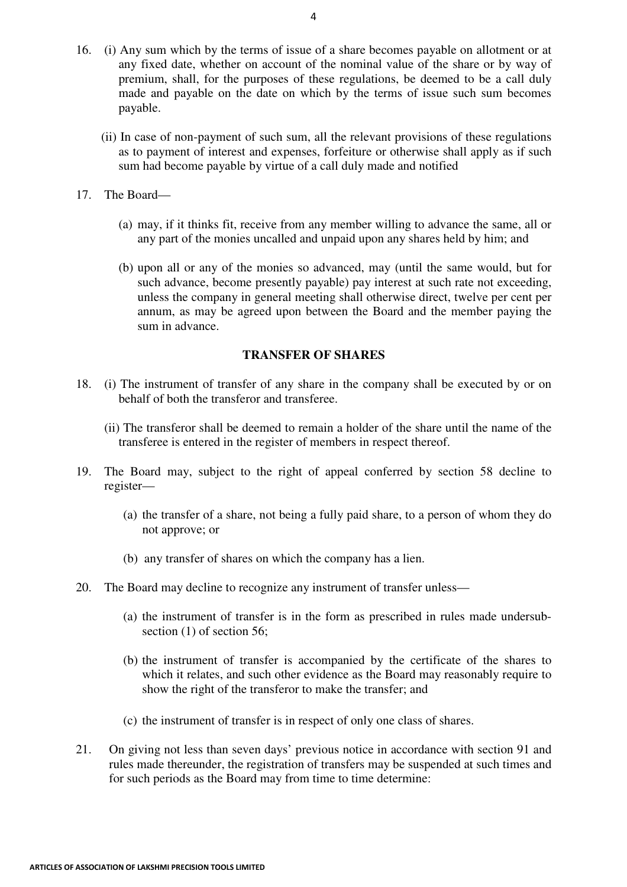- 16. (i) Any sum which by the terms of issue of a share becomes payable on allotment or at any fixed date, whether on account of the nominal value of the share or by way of premium, shall, for the purposes of these regulations, be deemed to be a call duly made and payable on the date on which by the terms of issue such sum becomes payable.
	- (ii) In case of non-payment of such sum, all the relevant provisions of these regulations as to payment of interest and expenses, forfeiture or otherwise shall apply as if such sum had become payable by virtue of a call duly made and notified
- 17. The Board—
	- (a) may, if it thinks fit, receive from any member willing to advance the same, all or any part of the monies uncalled and unpaid upon any shares held by him; and
	- (b) upon all or any of the monies so advanced, may (until the same would, but for such advance, become presently payable) pay interest at such rate not exceeding, unless the company in general meeting shall otherwise direct, twelve per cent per annum, as may be agreed upon between the Board and the member paying the sum in advance.

#### **TRANSFER OF SHARES**

- 18. (i) The instrument of transfer of any share in the company shall be executed by or on behalf of both the transferor and transferee.
	- (ii) The transferor shall be deemed to remain a holder of the share until the name of the transferee is entered in the register of members in respect thereof.
- 19. The Board may, subject to the right of appeal conferred by section 58 decline to register—
	- (a) the transfer of a share, not being a fully paid share, to a person of whom they do not approve; or
	- (b) any transfer of shares on which the company has a lien.
- 20. The Board may decline to recognize any instrument of transfer unless—
	- (a) the instrument of transfer is in the form as prescribed in rules made undersubsection (1) of section 56;
	- (b) the instrument of transfer is accompanied by the certificate of the shares to which it relates, and such other evidence as the Board may reasonably require to show the right of the transferor to make the transfer; and
	- (c) the instrument of transfer is in respect of only one class of shares.
- 21. On giving not less than seven days' previous notice in accordance with section 91 and rules made thereunder, the registration of transfers may be suspended at such times and for such periods as the Board may from time to time determine: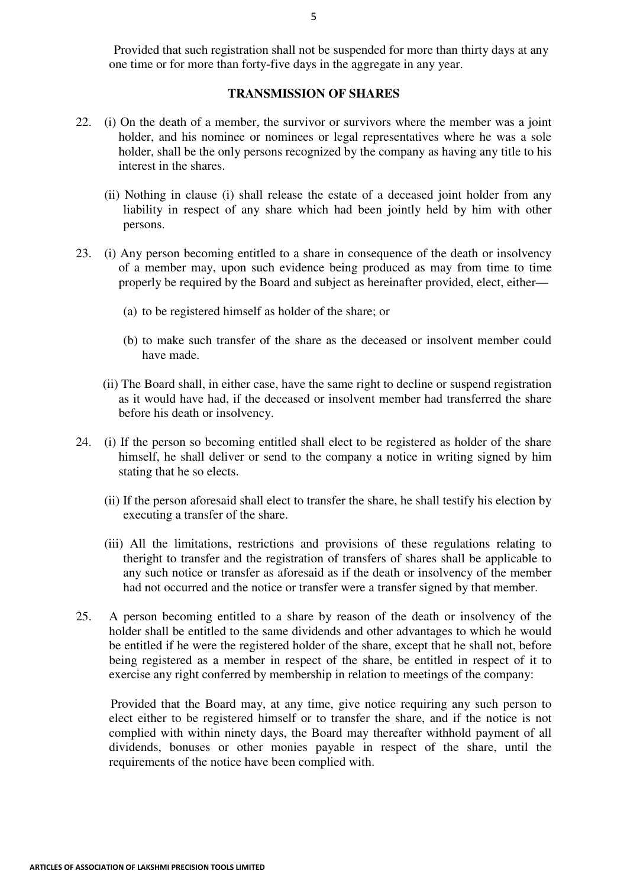Provided that such registration shall not be suspended for more than thirty days at any one time or for more than forty-five days in the aggregate in any year.

## **TRANSMISSION OF SHARES**

- 22. (i) On the death of a member, the survivor or survivors where the member was a joint holder, and his nominee or nominees or legal representatives where he was a sole holder, shall be the only persons recognized by the company as having any title to his interest in the shares.
	- (ii) Nothing in clause (i) shall release the estate of a deceased joint holder from any liability in respect of any share which had been jointly held by him with other persons.
- 23. (i) Any person becoming entitled to a share in consequence of the death or insolvency of a member may, upon such evidence being produced as may from time to time properly be required by the Board and subject as hereinafter provided, elect, either—
	- (a) to be registered himself as holder of the share; or
	- (b) to make such transfer of the share as the deceased or insolvent member could have made.
	- (ii) The Board shall, in either case, have the same right to decline or suspend registration as it would have had, if the deceased or insolvent member had transferred the share before his death or insolvency.
- 24. (i) If the person so becoming entitled shall elect to be registered as holder of the share himself, he shall deliver or send to the company a notice in writing signed by him stating that he so elects.
	- (ii) If the person aforesaid shall elect to transfer the share, he shall testify his election by executing a transfer of the share.
	- (iii) All the limitations, restrictions and provisions of these regulations relating to theright to transfer and the registration of transfers of shares shall be applicable to any such notice or transfer as aforesaid as if the death or insolvency of the member had not occurred and the notice or transfer were a transfer signed by that member.
- 25. A person becoming entitled to a share by reason of the death or insolvency of the holder shall be entitled to the same dividends and other advantages to which he would be entitled if he were the registered holder of the share, except that he shall not, before being registered as a member in respect of the share, be entitled in respect of it to exercise any right conferred by membership in relation to meetings of the company:

 Provided that the Board may, at any time, give notice requiring any such person to elect either to be registered himself or to transfer the share, and if the notice is not complied with within ninety days, the Board may thereafter withhold payment of all dividends, bonuses or other monies payable in respect of the share, until the requirements of the notice have been complied with.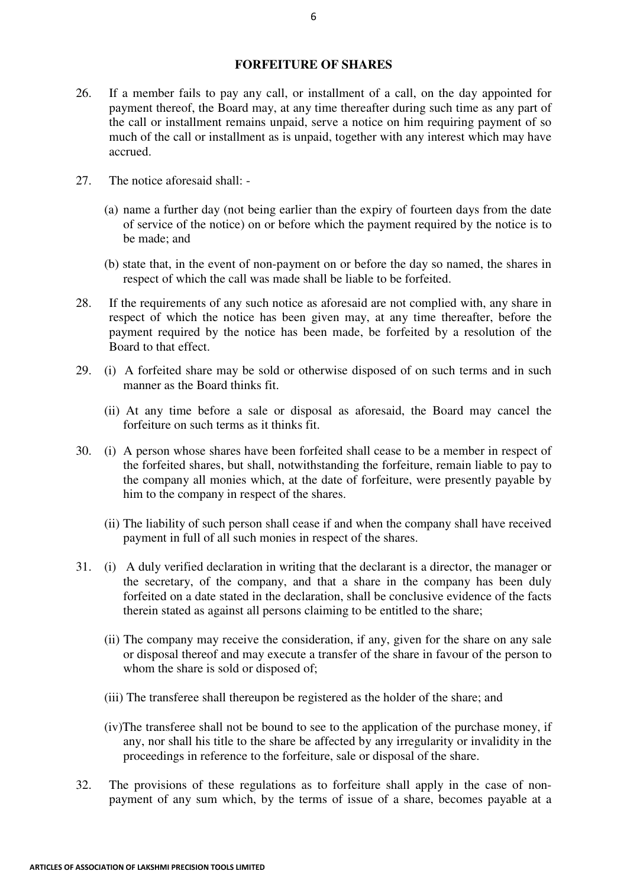## **FORFEITURE OF SHARES**

- 26. If a member fails to pay any call, or installment of a call, on the day appointed for payment thereof, the Board may, at any time thereafter during such time as any part of the call or installment remains unpaid, serve a notice on him requiring payment of so much of the call or installment as is unpaid, together with any interest which may have accrued.
- 27. The notice aforesaid shall:
	- (a) name a further day (not being earlier than the expiry of fourteen days from the date of service of the notice) on or before which the payment required by the notice is to be made; and
	- (b) state that, in the event of non-payment on or before the day so named, the shares in respect of which the call was made shall be liable to be forfeited.
- 28. If the requirements of any such notice as aforesaid are not complied with, any share in respect of which the notice has been given may, at any time thereafter, before the payment required by the notice has been made, be forfeited by a resolution of the Board to that effect.
- 29. (i) A forfeited share may be sold or otherwise disposed of on such terms and in such manner as the Board thinks fit.
	- (ii) At any time before a sale or disposal as aforesaid, the Board may cancel the forfeiture on such terms as it thinks fit.
- 30. (i) A person whose shares have been forfeited shall cease to be a member in respect of the forfeited shares, but shall, notwithstanding the forfeiture, remain liable to pay to the company all monies which, at the date of forfeiture, were presently payable by him to the company in respect of the shares.
	- (ii) The liability of such person shall cease if and when the company shall have received payment in full of all such monies in respect of the shares.
- 31. (i) A duly verified declaration in writing that the declarant is a director, the manager or the secretary, of the company, and that a share in the company has been duly forfeited on a date stated in the declaration, shall be conclusive evidence of the facts therein stated as against all persons claiming to be entitled to the share;
	- (ii) The company may receive the consideration, if any, given for the share on any sale or disposal thereof and may execute a transfer of the share in favour of the person to whom the share is sold or disposed of;
	- (iii) The transferee shall thereupon be registered as the holder of the share; and
	- (iv)The transferee shall not be bound to see to the application of the purchase money, if any, nor shall his title to the share be affected by any irregularity or invalidity in the proceedings in reference to the forfeiture, sale or disposal of the share.
- 32. The provisions of these regulations as to forfeiture shall apply in the case of nonpayment of any sum which, by the terms of issue of a share, becomes payable at a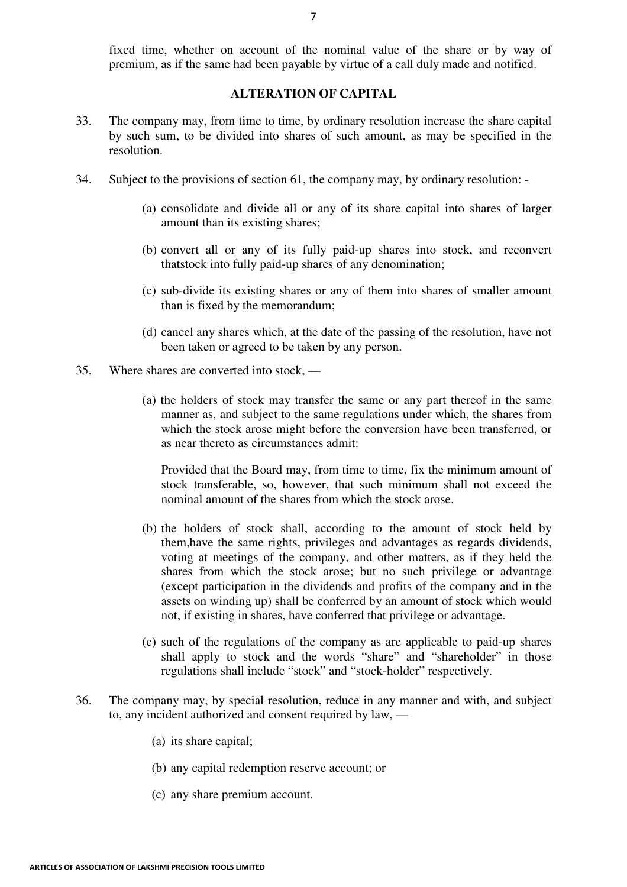fixed time, whether on account of the nominal value of the share or by way of premium, as if the same had been payable by virtue of a call duly made and notified.

## **ALTERATION OF CAPITAL**

- 33. The company may, from time to time, by ordinary resolution increase the share capital by such sum, to be divided into shares of such amount, as may be specified in the resolution.
- 34. Subject to the provisions of section 61, the company may, by ordinary resolution:
	- (a) consolidate and divide all or any of its share capital into shares of larger amount than its existing shares;
	- (b) convert all or any of its fully paid-up shares into stock, and reconvert thatstock into fully paid-up shares of any denomination;
	- (c) sub-divide its existing shares or any of them into shares of smaller amount than is fixed by the memorandum;
	- (d) cancel any shares which, at the date of the passing of the resolution, have not been taken or agreed to be taken by any person.
- 35. Where shares are converted into stock,
	- (a) the holders of stock may transfer the same or any part thereof in the same manner as, and subject to the same regulations under which, the shares from which the stock arose might before the conversion have been transferred, or as near thereto as circumstances admit:

Provided that the Board may, from time to time, fix the minimum amount of stock transferable, so, however, that such minimum shall not exceed the nominal amount of the shares from which the stock arose.

- (b) the holders of stock shall, according to the amount of stock held by them,have the same rights, privileges and advantages as regards dividends, voting at meetings of the company, and other matters, as if they held the shares from which the stock arose; but no such privilege or advantage (except participation in the dividends and profits of the company and in the assets on winding up) shall be conferred by an amount of stock which would not, if existing in shares, have conferred that privilege or advantage.
- (c) such of the regulations of the company as are applicable to paid-up shares shall apply to stock and the words "share" and "shareholder" in those regulations shall include "stock" and "stock-holder" respectively.
- 36. The company may, by special resolution, reduce in any manner and with, and subject to, any incident authorized and consent required by law, —
	- (a) its share capital;
	- (b) any capital redemption reserve account; or
	- (c) any share premium account.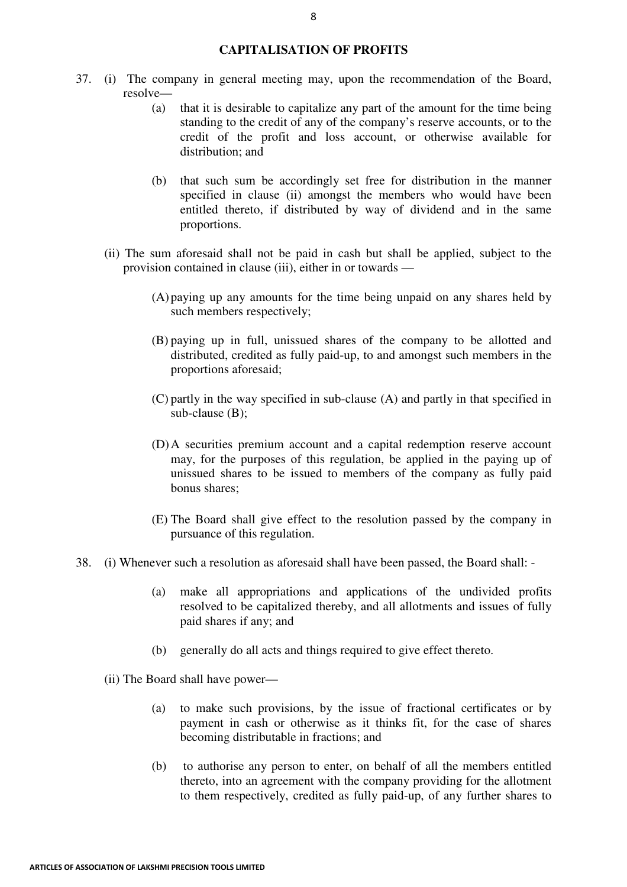## **CAPITALISATION OF PROFITS**

- 37. (i) The company in general meeting may, upon the recommendation of the Board, resolve—
	- (a) that it is desirable to capitalize any part of the amount for the time being standing to the credit of any of the company's reserve accounts, or to the credit of the profit and loss account, or otherwise available for distribution; and
	- (b) that such sum be accordingly set free for distribution in the manner specified in clause (ii) amongst the members who would have been entitled thereto, if distributed by way of dividend and in the same proportions.
	- (ii) The sum aforesaid shall not be paid in cash but shall be applied, subject to the provision contained in clause (iii), either in or towards —
		- (A)paying up any amounts for the time being unpaid on any shares held by such members respectively;
		- (B) paying up in full, unissued shares of the company to be allotted and distributed, credited as fully paid-up, to and amongst such members in the proportions aforesaid;
		- (C) partly in the way specified in sub-clause (A) and partly in that specified in sub-clause (B);
		- (D)A securities premium account and a capital redemption reserve account may, for the purposes of this regulation, be applied in the paying up of unissued shares to be issued to members of the company as fully paid bonus shares;
		- (E) The Board shall give effect to the resolution passed by the company in pursuance of this regulation.
- 38. (i) Whenever such a resolution as aforesaid shall have been passed, the Board shall:
	- (a) make all appropriations and applications of the undivided profits resolved to be capitalized thereby, and all allotments and issues of fully paid shares if any; and
	- (b) generally do all acts and things required to give effect thereto.
	- (ii) The Board shall have power—
		- (a) to make such provisions, by the issue of fractional certificates or by payment in cash or otherwise as it thinks fit, for the case of shares becoming distributable in fractions; and
		- (b) to authorise any person to enter, on behalf of all the members entitled thereto, into an agreement with the company providing for the allotment to them respectively, credited as fully paid-up, of any further shares to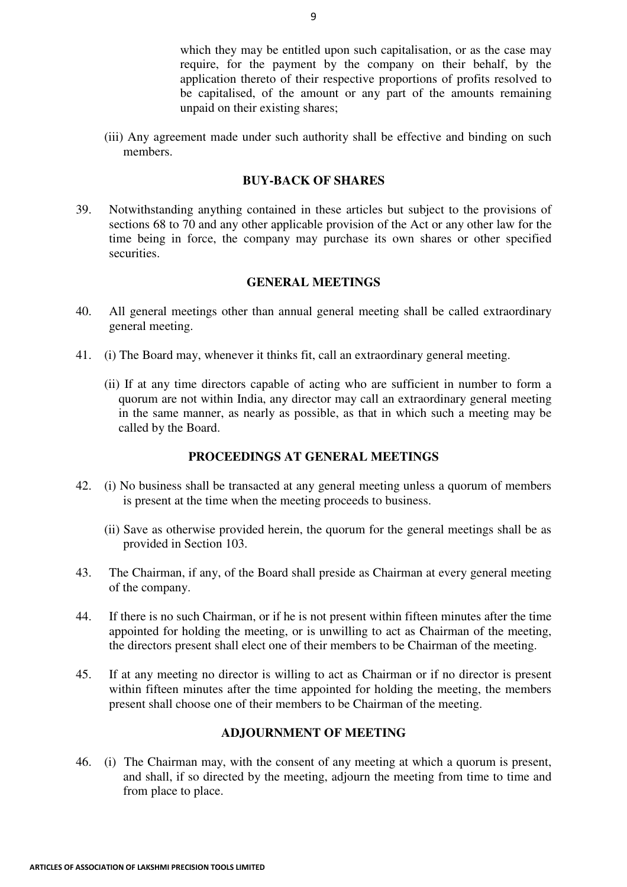which they may be entitled upon such capitalisation, or as the case may require, for the payment by the company on their behalf, by the application thereto of their respective proportions of profits resolved to be capitalised, of the amount or any part of the amounts remaining unpaid on their existing shares;

(iii) Any agreement made under such authority shall be effective and binding on such members.

#### **BUY-BACK OF SHARES**

39. Notwithstanding anything contained in these articles but subject to the provisions of sections 68 to 70 and any other applicable provision of the Act or any other law for the time being in force, the company may purchase its own shares or other specified securities.

## **GENERAL MEETINGS**

- 40. All general meetings other than annual general meeting shall be called extraordinary general meeting.
- 41. (i) The Board may, whenever it thinks fit, call an extraordinary general meeting.
	- (ii) If at any time directors capable of acting who are sufficient in number to form a quorum are not within India, any director may call an extraordinary general meeting in the same manner, as nearly as possible, as that in which such a meeting may be called by the Board.

## **PROCEEDINGS AT GENERAL MEETINGS**

- 42. (i) No business shall be transacted at any general meeting unless a quorum of members is present at the time when the meeting proceeds to business.
	- (ii) Save as otherwise provided herein, the quorum for the general meetings shall be as provided in Section 103.
- 43. The Chairman, if any, of the Board shall preside as Chairman at every general meeting of the company.
- 44. If there is no such Chairman, or if he is not present within fifteen minutes after the time appointed for holding the meeting, or is unwilling to act as Chairman of the meeting, the directors present shall elect one of their members to be Chairman of the meeting.
- 45. If at any meeting no director is willing to act as Chairman or if no director is present within fifteen minutes after the time appointed for holding the meeting, the members present shall choose one of their members to be Chairman of the meeting.

## **ADJOURNMENT OF MEETING**

46. (i) The Chairman may, with the consent of any meeting at which a quorum is present, and shall, if so directed by the meeting, adjourn the meeting from time to time and from place to place.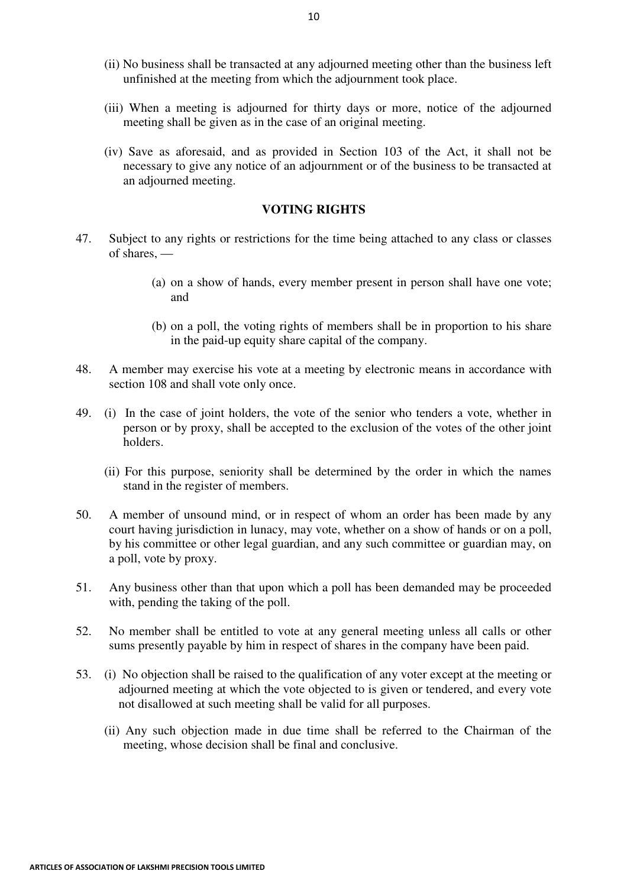- (ii) No business shall be transacted at any adjourned meeting other than the business left unfinished at the meeting from which the adjournment took place.
- (iii) When a meeting is adjourned for thirty days or more, notice of the adjourned meeting shall be given as in the case of an original meeting.
- (iv) Save as aforesaid, and as provided in Section 103 of the Act, it shall not be necessary to give any notice of an adjournment or of the business to be transacted at an adjourned meeting.

#### **VOTING RIGHTS**

- 47. Subject to any rights or restrictions for the time being attached to any class or classes of shares, —
	- (a) on a show of hands, every member present in person shall have one vote; and
	- (b) on a poll, the voting rights of members shall be in proportion to his share in the paid-up equity share capital of the company.
- 48. A member may exercise his vote at a meeting by electronic means in accordance with section 108 and shall vote only once.
- 49. (i) In the case of joint holders, the vote of the senior who tenders a vote, whether in person or by proxy, shall be accepted to the exclusion of the votes of the other joint holders.
	- (ii) For this purpose, seniority shall be determined by the order in which the names stand in the register of members.
- 50. A member of unsound mind, or in respect of whom an order has been made by any court having jurisdiction in lunacy, may vote, whether on a show of hands or on a poll, by his committee or other legal guardian, and any such committee or guardian may, on a poll, vote by proxy.
- 51. Any business other than that upon which a poll has been demanded may be proceeded with, pending the taking of the poll.
- 52. No member shall be entitled to vote at any general meeting unless all calls or other sums presently payable by him in respect of shares in the company have been paid.
- 53. (i) No objection shall be raised to the qualification of any voter except at the meeting or adjourned meeting at which the vote objected to is given or tendered, and every vote not disallowed at such meeting shall be valid for all purposes.
	- (ii) Any such objection made in due time shall be referred to the Chairman of the meeting, whose decision shall be final and conclusive.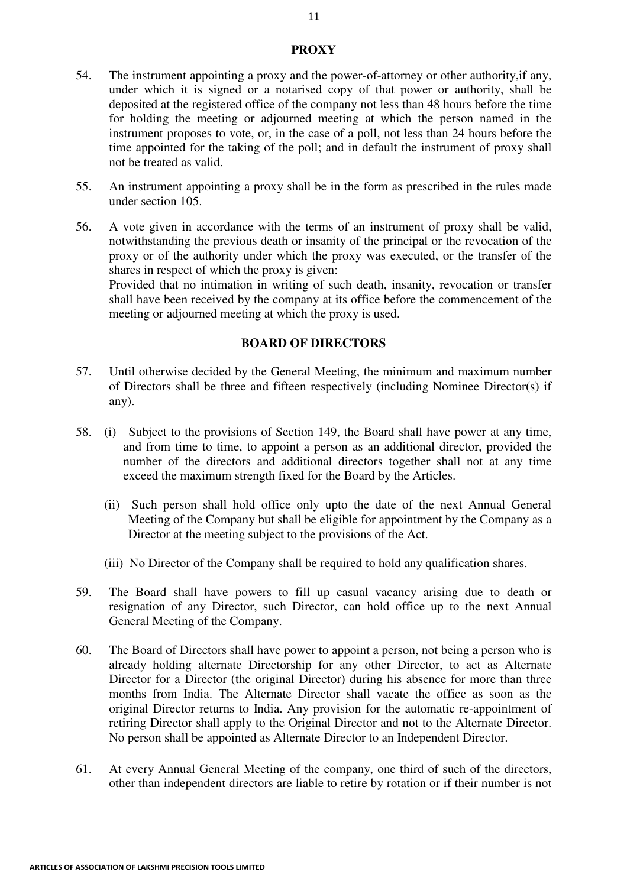## **PROXY**

- 54. The instrument appointing a proxy and the power-of-attorney or other authority,if any, under which it is signed or a notarised copy of that power or authority, shall be deposited at the registered office of the company not less than 48 hours before the time for holding the meeting or adjourned meeting at which the person named in the instrument proposes to vote, or, in the case of a poll, not less than 24 hours before the time appointed for the taking of the poll; and in default the instrument of proxy shall not be treated as valid.
- 55. An instrument appointing a proxy shall be in the form as prescribed in the rules made under section 105.
- 56. A vote given in accordance with the terms of an instrument of proxy shall be valid, notwithstanding the previous death or insanity of the principal or the revocation of the proxy or of the authority under which the proxy was executed, or the transfer of the shares in respect of which the proxy is given:

Provided that no intimation in writing of such death, insanity, revocation or transfer shall have been received by the company at its office before the commencement of the meeting or adjourned meeting at which the proxy is used.

## **BOARD OF DIRECTORS**

- 57. Until otherwise decided by the General Meeting, the minimum and maximum number of Directors shall be three and fifteen respectively (including Nominee Director(s) if any).
- 58. (i) Subject to the provisions of Section 149, the Board shall have power at any time, and from time to time, to appoint a person as an additional director, provided the number of the directors and additional directors together shall not at any time exceed the maximum strength fixed for the Board by the Articles.
	- (ii) Such person shall hold office only upto the date of the next Annual General Meeting of the Company but shall be eligible for appointment by the Company as a Director at the meeting subject to the provisions of the Act.
	- (iii) No Director of the Company shall be required to hold any qualification shares.
- 59. The Board shall have powers to fill up casual vacancy arising due to death or resignation of any Director, such Director, can hold office up to the next Annual General Meeting of the Company.
- 60. The Board of Directors shall have power to appoint a person, not being a person who is already holding alternate Directorship for any other Director, to act as Alternate Director for a Director (the original Director) during his absence for more than three months from India. The Alternate Director shall vacate the office as soon as the original Director returns to India. Any provision for the automatic re-appointment of retiring Director shall apply to the Original Director and not to the Alternate Director. No person shall be appointed as Alternate Director to an Independent Director.
- 61. At every Annual General Meeting of the company, one third of such of the directors, other than independent directors are liable to retire by rotation or if their number is not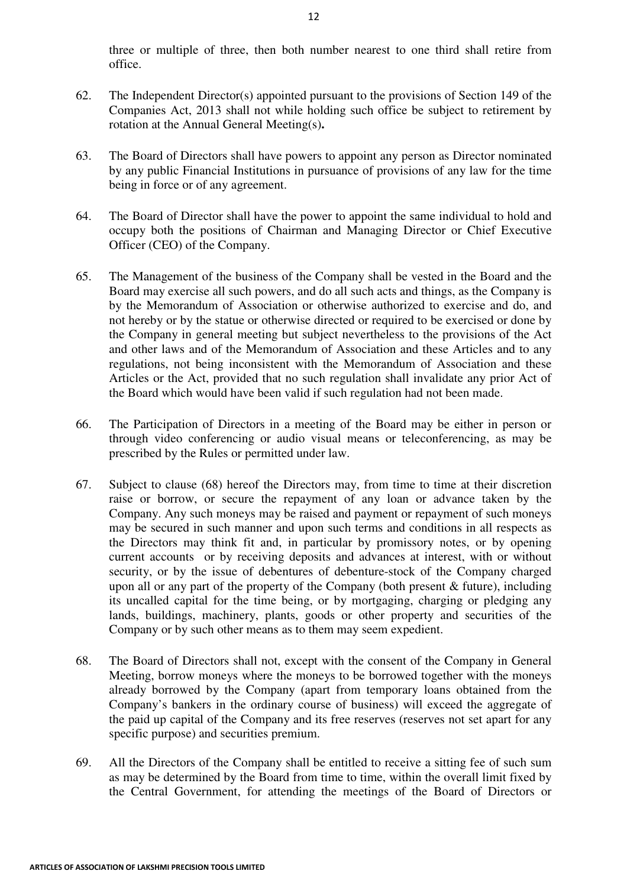three or multiple of three, then both number nearest to one third shall retire from office.

- 62. The Independent Director(s) appointed pursuant to the provisions of Section 149 of the Companies Act, 2013 shall not while holding such office be subject to retirement by rotation at the Annual General Meeting(s)**.**
- 63. The Board of Directors shall have powers to appoint any person as Director nominated by any public Financial Institutions in pursuance of provisions of any law for the time being in force or of any agreement.
- 64. The Board of Director shall have the power to appoint the same individual to hold and occupy both the positions of Chairman and Managing Director or Chief Executive Officer (CEO) of the Company.
- 65. The Management of the business of the Company shall be vested in the Board and the Board may exercise all such powers, and do all such acts and things, as the Company is by the Memorandum of Association or otherwise authorized to exercise and do, and not hereby or by the statue or otherwise directed or required to be exercised or done by the Company in general meeting but subject nevertheless to the provisions of the Act and other laws and of the Memorandum of Association and these Articles and to any regulations, not being inconsistent with the Memorandum of Association and these Articles or the Act, provided that no such regulation shall invalidate any prior Act of the Board which would have been valid if such regulation had not been made.
- 66. The Participation of Directors in a meeting of the Board may be either in person or through video conferencing or audio visual means or teleconferencing, as may be prescribed by the Rules or permitted under law.
- 67. Subject to clause (68) hereof the Directors may, from time to time at their discretion raise or borrow, or secure the repayment of any loan or advance taken by the Company. Any such moneys may be raised and payment or repayment of such moneys may be secured in such manner and upon such terms and conditions in all respects as the Directors may think fit and, in particular by promissory notes, or by opening current accounts or by receiving deposits and advances at interest, with or without security, or by the issue of debentures of debenture-stock of the Company charged upon all or any part of the property of the Company (both present  $\&$  future), including its uncalled capital for the time being, or by mortgaging, charging or pledging any lands, buildings, machinery, plants, goods or other property and securities of the Company or by such other means as to them may seem expedient.
- 68. The Board of Directors shall not, except with the consent of the Company in General Meeting, borrow moneys where the moneys to be borrowed together with the moneys already borrowed by the Company (apart from temporary loans obtained from the Company's bankers in the ordinary course of business) will exceed the aggregate of the paid up capital of the Company and its free reserves (reserves not set apart for any specific purpose) and securities premium.
- 69. All the Directors of the Company shall be entitled to receive a sitting fee of such sum as may be determined by the Board from time to time, within the overall limit fixed by the Central Government, for attending the meetings of the Board of Directors or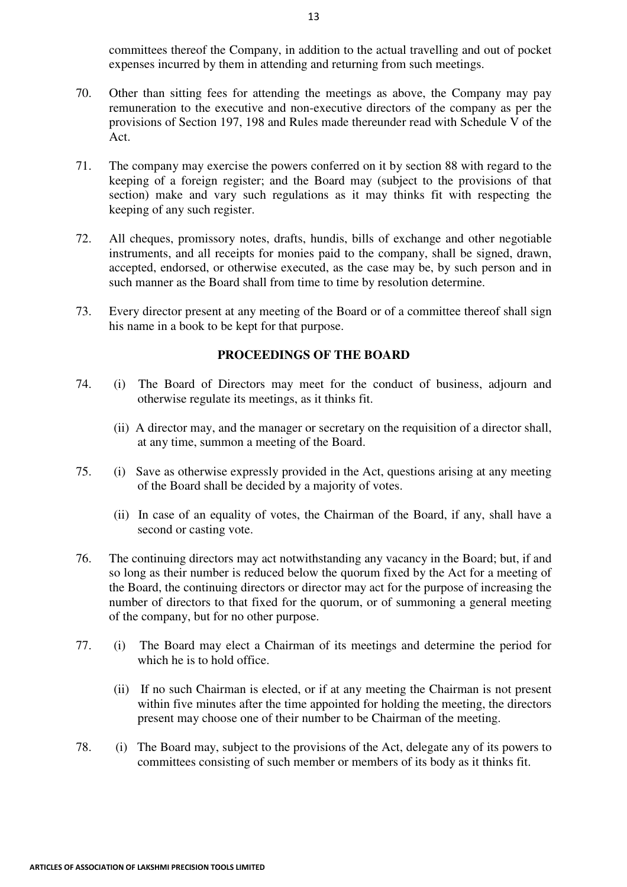committees thereof the Company, in addition to the actual travelling and out of pocket expenses incurred by them in attending and returning from such meetings.

- 70. Other than sitting fees for attending the meetings as above, the Company may pay remuneration to the executive and non-executive directors of the company as per the provisions of Section 197, 198 and Rules made thereunder read with Schedule V of the Act.
- 71. The company may exercise the powers conferred on it by section 88 with regard to the keeping of a foreign register; and the Board may (subject to the provisions of that section) make and vary such regulations as it may thinks fit with respecting the keeping of any such register.
- 72. All cheques, promissory notes, drafts, hundis, bills of exchange and other negotiable instruments, and all receipts for monies paid to the company, shall be signed, drawn, accepted, endorsed, or otherwise executed, as the case may be, by such person and in such manner as the Board shall from time to time by resolution determine.
- 73. Every director present at any meeting of the Board or of a committee thereof shall sign his name in a book to be kept for that purpose.

## **PROCEEDINGS OF THE BOARD**

- 74. (i) The Board of Directors may meet for the conduct of business, adjourn and otherwise regulate its meetings, as it thinks fit.
	- (ii) A director may, and the manager or secretary on the requisition of a director shall, at any time, summon a meeting of the Board.
- 75. (i) Save as otherwise expressly provided in the Act, questions arising at any meeting of the Board shall be decided by a majority of votes.
	- (ii) In case of an equality of votes, the Chairman of the Board, if any, shall have a second or casting vote.
- 76. The continuing directors may act notwithstanding any vacancy in the Board; but, if and so long as their number is reduced below the quorum fixed by the Act for a meeting of the Board, the continuing directors or director may act for the purpose of increasing the number of directors to that fixed for the quorum, or of summoning a general meeting of the company, but for no other purpose.
- 77. (i) The Board may elect a Chairman of its meetings and determine the period for which he is to hold office.
	- (ii) If no such Chairman is elected, or if at any meeting the Chairman is not present within five minutes after the time appointed for holding the meeting, the directors present may choose one of their number to be Chairman of the meeting.
- 78. (i) The Board may, subject to the provisions of the Act, delegate any of its powers to committees consisting of such member or members of its body as it thinks fit.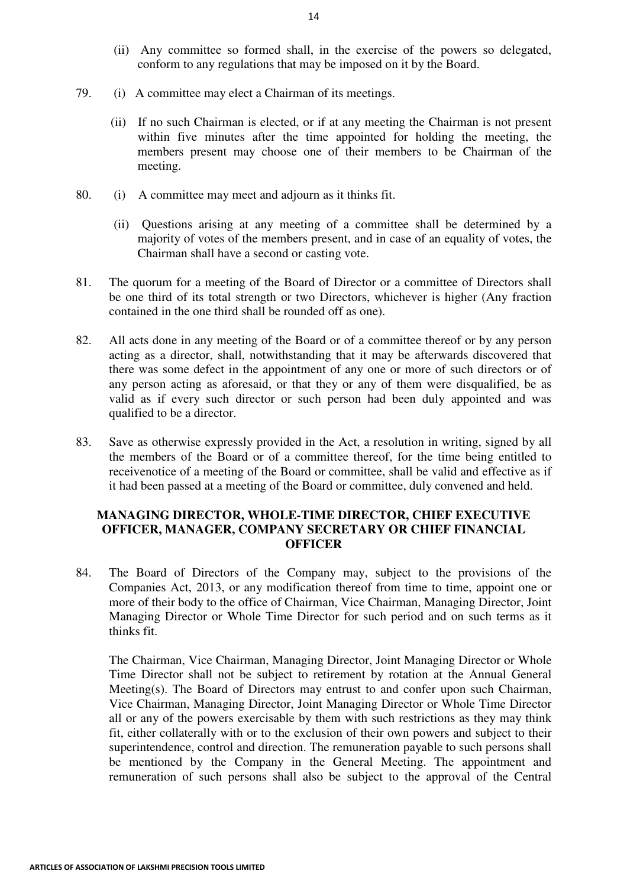- (ii) Any committee so formed shall, in the exercise of the powers so delegated, conform to any regulations that may be imposed on it by the Board.
- 79. (i) A committee may elect a Chairman of its meetings.
	- (ii) If no such Chairman is elected, or if at any meeting the Chairman is not present within five minutes after the time appointed for holding the meeting, the members present may choose one of their members to be Chairman of the meeting.
- 80. (i) A committee may meet and adjourn as it thinks fit.
	- (ii) Questions arising at any meeting of a committee shall be determined by a majority of votes of the members present, and in case of an equality of votes, the Chairman shall have a second or casting vote.
- 81. The quorum for a meeting of the Board of Director or a committee of Directors shall be one third of its total strength or two Directors, whichever is higher (Any fraction contained in the one third shall be rounded off as one).
- 82. All acts done in any meeting of the Board or of a committee thereof or by any person acting as a director, shall, notwithstanding that it may be afterwards discovered that there was some defect in the appointment of any one or more of such directors or of any person acting as aforesaid, or that they or any of them were disqualified, be as valid as if every such director or such person had been duly appointed and was qualified to be a director.
- 83. Save as otherwise expressly provided in the Act, a resolution in writing, signed by all the members of the Board or of a committee thereof, for the time being entitled to receivenotice of a meeting of the Board or committee, shall be valid and effective as if it had been passed at a meeting of the Board or committee, duly convened and held.

## **MANAGING DIRECTOR, WHOLE-TIME DIRECTOR, CHIEF EXECUTIVE OFFICER, MANAGER, COMPANY SECRETARY OR CHIEF FINANCIAL OFFICER**

84. The Board of Directors of the Company may, subject to the provisions of the Companies Act, 2013, or any modification thereof from time to time, appoint one or more of their body to the office of Chairman, Vice Chairman, Managing Director, Joint Managing Director or Whole Time Director for such period and on such terms as it thinks fit.

The Chairman, Vice Chairman, Managing Director, Joint Managing Director or Whole Time Director shall not be subject to retirement by rotation at the Annual General Meeting(s). The Board of Directors may entrust to and confer upon such Chairman, Vice Chairman, Managing Director, Joint Managing Director or Whole Time Director all or any of the powers exercisable by them with such restrictions as they may think fit, either collaterally with or to the exclusion of their own powers and subject to their superintendence, control and direction. The remuneration payable to such persons shall be mentioned by the Company in the General Meeting. The appointment and remuneration of such persons shall also be subject to the approval of the Central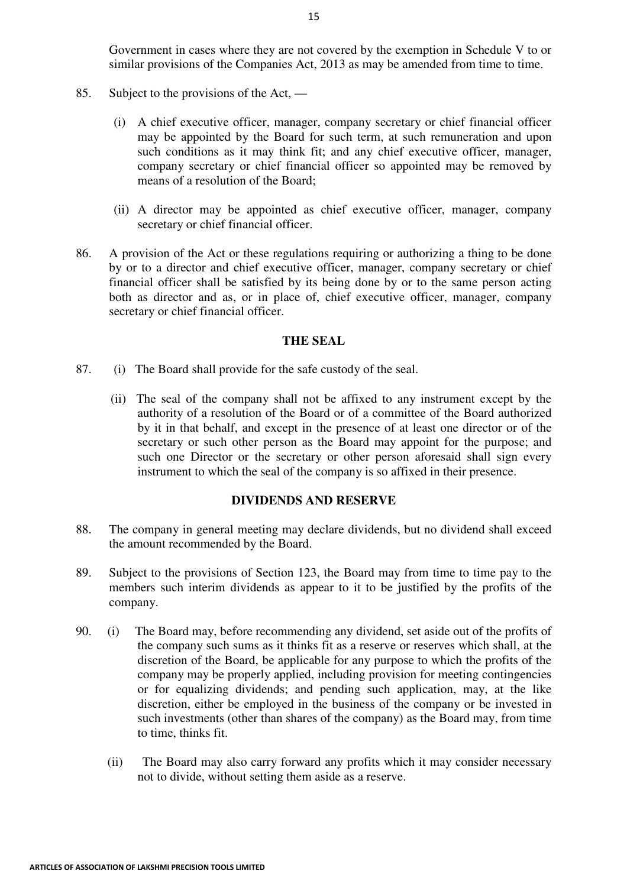Government in cases where they are not covered by the exemption in Schedule V to or similar provisions of the Companies Act, 2013 as may be amended from time to time.

- 85. Subject to the provisions of the Act,
	- (i) A chief executive officer, manager, company secretary or chief financial officer may be appointed by the Board for such term, at such remuneration and upon such conditions as it may think fit; and any chief executive officer, manager, company secretary or chief financial officer so appointed may be removed by means of a resolution of the Board;
	- (ii) A director may be appointed as chief executive officer, manager, company secretary or chief financial officer.
- 86. A provision of the Act or these regulations requiring or authorizing a thing to be done by or to a director and chief executive officer, manager, company secretary or chief financial officer shall be satisfied by its being done by or to the same person acting both as director and as, or in place of, chief executive officer, manager, company secretary or chief financial officer.

### **THE SEAL**

- 87. (i) The Board shall provide for the safe custody of the seal.
	- (ii) The seal of the company shall not be affixed to any instrument except by the authority of a resolution of the Board or of a committee of the Board authorized by it in that behalf, and except in the presence of at least one director or of the secretary or such other person as the Board may appoint for the purpose; and such one Director or the secretary or other person aforesaid shall sign every instrument to which the seal of the company is so affixed in their presence.

#### **DIVIDENDS AND RESERVE**

- 88. The company in general meeting may declare dividends, but no dividend shall exceed the amount recommended by the Board.
- 89. Subject to the provisions of Section 123, the Board may from time to time pay to the members such interim dividends as appear to it to be justified by the profits of the company.
- 90. (i) The Board may, before recommending any dividend, set aside out of the profits of the company such sums as it thinks fit as a reserve or reserves which shall, at the discretion of the Board, be applicable for any purpose to which the profits of the company may be properly applied, including provision for meeting contingencies or for equalizing dividends; and pending such application, may, at the like discretion, either be employed in the business of the company or be invested in such investments (other than shares of the company) as the Board may, from time to time, thinks fit.
	- (ii) The Board may also carry forward any profits which it may consider necessary not to divide, without setting them aside as a reserve.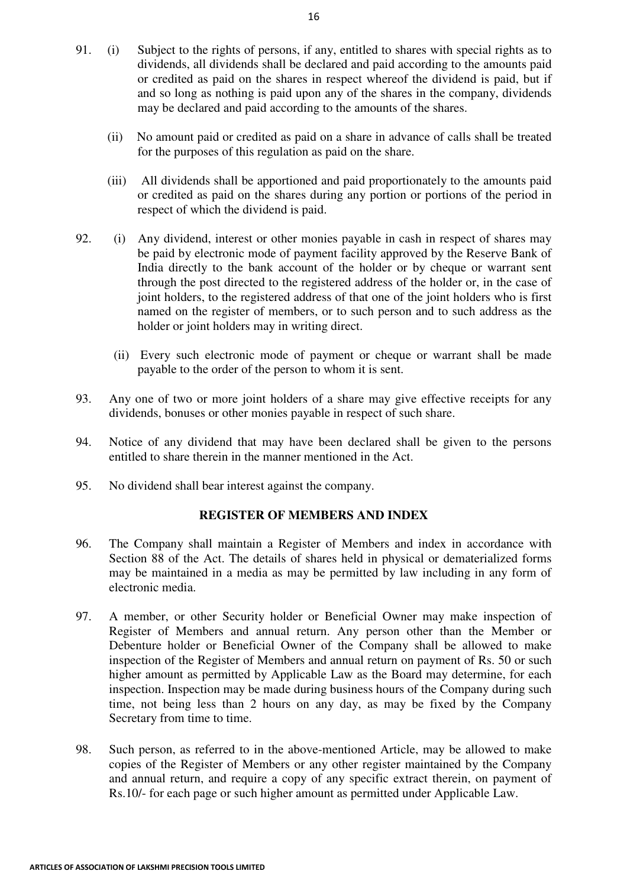- 91. (i) Subject to the rights of persons, if any, entitled to shares with special rights as to dividends, all dividends shall be declared and paid according to the amounts paid or credited as paid on the shares in respect whereof the dividend is paid, but if and so long as nothing is paid upon any of the shares in the company, dividends may be declared and paid according to the amounts of the shares.
	- (ii) No amount paid or credited as paid on a share in advance of calls shall be treated for the purposes of this regulation as paid on the share.
	- (iii) All dividends shall be apportioned and paid proportionately to the amounts paid or credited as paid on the shares during any portion or portions of the period in respect of which the dividend is paid.
- 92. (i) Any dividend, interest or other monies payable in cash in respect of shares may be paid by electronic mode of payment facility approved by the Reserve Bank of India directly to the bank account of the holder or by cheque or warrant sent through the post directed to the registered address of the holder or, in the case of joint holders, to the registered address of that one of the joint holders who is first named on the register of members, or to such person and to such address as the holder or joint holders may in writing direct.
	- (ii) Every such electronic mode of payment or cheque or warrant shall be made payable to the order of the person to whom it is sent.
- 93. Any one of two or more joint holders of a share may give effective receipts for any dividends, bonuses or other monies payable in respect of such share.
- 94. Notice of any dividend that may have been declared shall be given to the persons entitled to share therein in the manner mentioned in the Act.
- 95. No dividend shall bear interest against the company.

## **REGISTER OF MEMBERS AND INDEX**

- 96. The Company shall maintain a Register of Members and index in accordance with Section 88 of the Act. The details of shares held in physical or dematerialized forms may be maintained in a media as may be permitted by law including in any form of electronic media.
- 97. A member, or other Security holder or Beneficial Owner may make inspection of Register of Members and annual return. Any person other than the Member or Debenture holder or Beneficial Owner of the Company shall be allowed to make inspection of the Register of Members and annual return on payment of Rs. 50 or such higher amount as permitted by Applicable Law as the Board may determine, for each inspection. Inspection may be made during business hours of the Company during such time, not being less than 2 hours on any day, as may be fixed by the Company Secretary from time to time.
- 98. Such person, as referred to in the above-mentioned Article, may be allowed to make copies of the Register of Members or any other register maintained by the Company and annual return, and require a copy of any specific extract therein, on payment of Rs.10/- for each page or such higher amount as permitted under Applicable Law.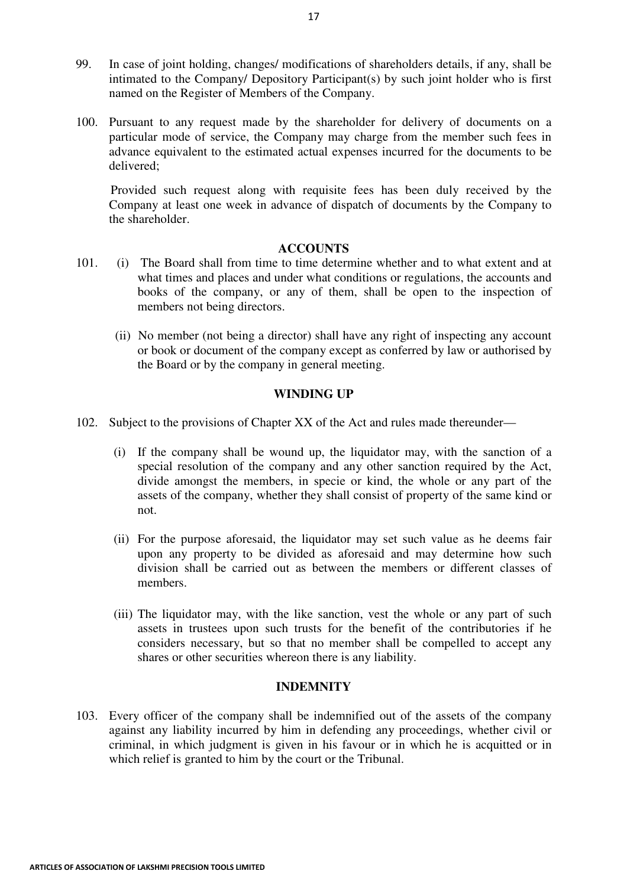- 99. In case of joint holding, changes/ modifications of shareholders details, if any, shall be intimated to the Company/ Depository Participant(s) by such joint holder who is first named on the Register of Members of the Company.
- 100. Pursuant to any request made by the shareholder for delivery of documents on a particular mode of service, the Company may charge from the member such fees in advance equivalent to the estimated actual expenses incurred for the documents to be delivered;

 Provided such request along with requisite fees has been duly received by the Company at least one week in advance of dispatch of documents by the Company to the shareholder.

### **ACCOUNTS**

- 101. (i) The Board shall from time to time determine whether and to what extent and at what times and places and under what conditions or regulations, the accounts and books of the company, or any of them, shall be open to the inspection of members not being directors.
	- (ii) No member (not being a director) shall have any right of inspecting any account or book or document of the company except as conferred by law or authorised by the Board or by the company in general meeting.

### **WINDING UP**

- 102. Subject to the provisions of Chapter XX of the Act and rules made thereunder—
	- (i) If the company shall be wound up, the liquidator may, with the sanction of a special resolution of the company and any other sanction required by the Act, divide amongst the members, in specie or kind, the whole or any part of the assets of the company, whether they shall consist of property of the same kind or not.
	- (ii) For the purpose aforesaid, the liquidator may set such value as he deems fair upon any property to be divided as aforesaid and may determine how such division shall be carried out as between the members or different classes of members.
	- (iii) The liquidator may, with the like sanction, vest the whole or any part of such assets in trustees upon such trusts for the benefit of the contributories if he considers necessary, but so that no member shall be compelled to accept any shares or other securities whereon there is any liability.

#### **INDEMNITY**

103. Every officer of the company shall be indemnified out of the assets of the company against any liability incurred by him in defending any proceedings, whether civil or criminal, in which judgment is given in his favour or in which he is acquitted or in which relief is granted to him by the court or the Tribunal.